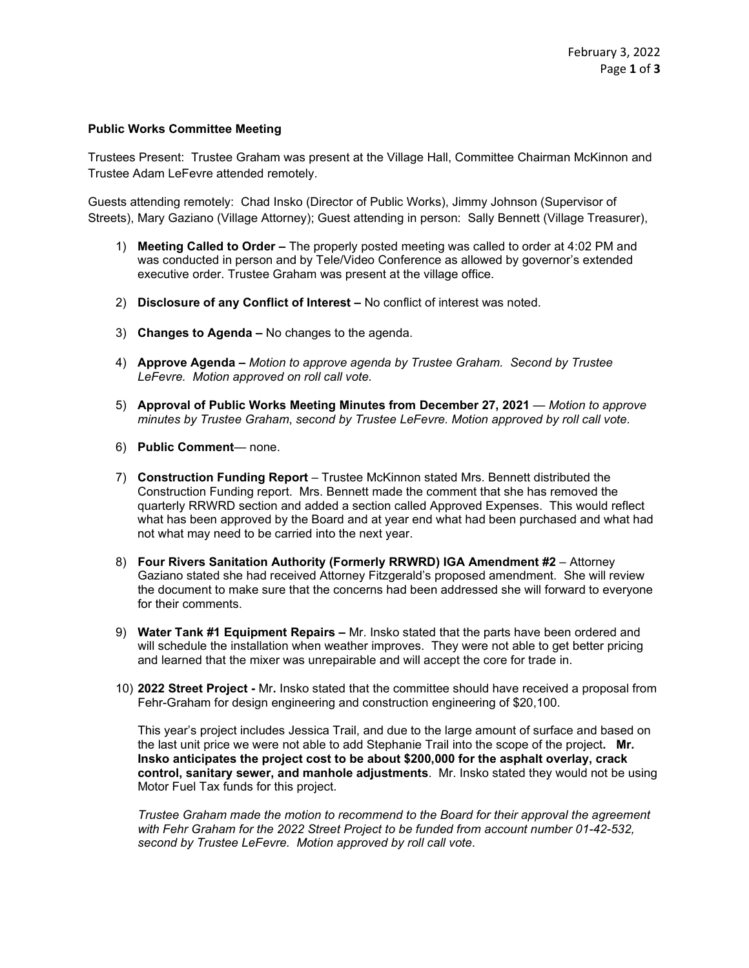## **Public Works Committee Meeting**

Trustees Present: Trustee Graham was present at the Village Hall, Committee Chairman McKinnon and Trustee Adam LeFevre attended remotely.

Guests attending remotely: Chad Insko (Director of Public Works), Jimmy Johnson (Supervisor of Streets), Mary Gaziano (Village Attorney); Guest attending in person: Sally Bennett (Village Treasurer),

- 1) **Meeting Called to Order –** The properly posted meeting was called to order at 4:02 PM and was conducted in person and by Tele/Video Conference as allowed by governor's extended executive order. Trustee Graham was present at the village office.
- 2) **Disclosure of any Conflict of Interest –** No conflict of interest was noted.
- 3) **Changes to Agenda –** No changes to the agenda.
- 4) **Approve Agenda –** *Motion to approve agenda by Trustee Graham. Second by Trustee LeFevre. Motion approved on roll call vote.*
- 5) **Approval of Public Works Meeting Minutes from December 27, 2021** *Motion to approve minutes by Trustee Graham*, *second by Trustee LeFevre. Motion approved by roll call vote.*
- 6) **Public Comment** none.
- 7) **Construction Funding Report** Trustee McKinnon stated Mrs. Bennett distributed the Construction Funding report. Mrs. Bennett made the comment that she has removed the quarterly RRWRD section and added a section called Approved Expenses. This would reflect what has been approved by the Board and at year end what had been purchased and what had not what may need to be carried into the next year.
- 8) **Four Rivers Sanitation Authority (Formerly RRWRD) IGA Amendment #2**  Attorney Gaziano stated she had received Attorney Fitzgerald's proposed amendment. She will review the document to make sure that the concerns had been addressed she will forward to everyone for their comments.
- 9) **Water Tank #1 Equipment Repairs –** Mr. Insko stated that the parts have been ordered and will schedule the installation when weather improves. They were not able to get better pricing and learned that the mixer was unrepairable and will accept the core for trade in.
- 10) **2022 Street Project -** Mr**.** Insko stated that the committee should have received a proposal from Fehr-Graham for design engineering and construction engineering of \$20,100.

This year's project includes Jessica Trail, and due to the large amount of surface and based on the last unit price we were not able to add Stephanie Trail into the scope of the project**. Mr. Insko anticipates the project cost to be about \$200,000 for the asphalt overlay, crack control, sanitary sewer, and manhole adjustments**. Mr. Insko stated they would not be using Motor Fuel Tax funds for this project.

*Trustee Graham made the motion to recommend to the Board for their approval the agreement with Fehr Graham for the 2022 Street Project to be funded from account number 01-42-532, second by Trustee LeFevre. Motion approved by roll call vote*.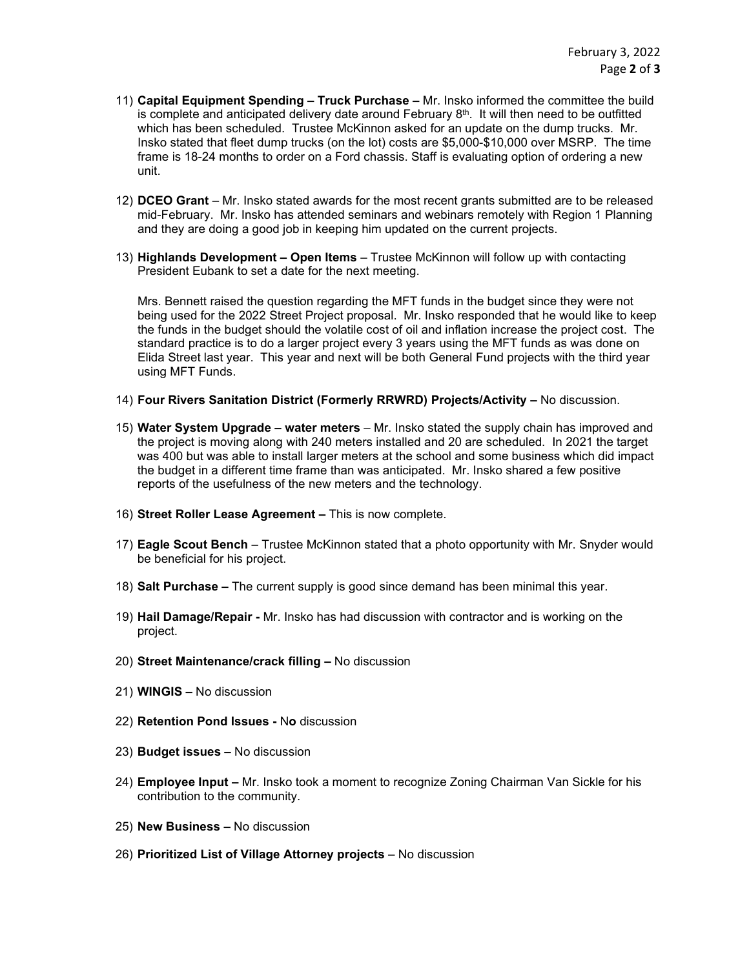- 11) **Capital Equipment Spending – Truck Purchase –** Mr. Insko informed the committee the build is complete and anticipated delivery date around February  $8<sup>th</sup>$ . It will then need to be outfitted which has been scheduled. Trustee McKinnon asked for an update on the dump trucks. Mr. Insko stated that fleet dump trucks (on the lot) costs are \$5,000-\$10,000 over MSRP. The time frame is 18-24 months to order on a Ford chassis. Staff is evaluating option of ordering a new unit.
- 12) **DCEO Grant** Mr. Insko stated awards for the most recent grants submitted are to be released mid-February. Mr. Insko has attended seminars and webinars remotely with Region 1 Planning and they are doing a good job in keeping him updated on the current projects.
- 13) **Highlands Development – Open Items** Trustee McKinnon will follow up with contacting President Eubank to set a date for the next meeting.

Mrs. Bennett raised the question regarding the MFT funds in the budget since they were not being used for the 2022 Street Project proposal. Mr. Insko responded that he would like to keep the funds in the budget should the volatile cost of oil and inflation increase the project cost. The standard practice is to do a larger project every 3 years using the MFT funds as was done on Elida Street last year. This year and next will be both General Fund projects with the third year using MFT Funds.

- 14) **Four Rivers Sanitation District (Formerly RRWRD) Projects/Activity –** No discussion.
- 15) **Water System Upgrade – water meters** Mr. Insko stated the supply chain has improved and the project is moving along with 240 meters installed and 20 are scheduled. In 2021 the target was 400 but was able to install larger meters at the school and some business which did impact the budget in a different time frame than was anticipated. Mr. Insko shared a few positive reports of the usefulness of the new meters and the technology.
- 16) **Street Roller Lease Agreement –** This is now complete.
- 17) **Eagle Scout Bench**  Trustee McKinnon stated that a photo opportunity with Mr. Snyder would be beneficial for his project.
- 18) **Salt Purchase –** The current supply is good since demand has been minimal this year.
- 19) **Hail Damage/Repair -** Mr. Insko has had discussion with contractor and is working on the project.
- 20) **Street Maintenance/crack filling –** No discussion
- 21) **WINGIS –** No discussion
- 22) **Retention Pond Issues -** N**o** discussion
- 23) **Budget issues –** No discussion
- 24) **Employee Input –** Mr. Insko took a moment to recognize Zoning Chairman Van Sickle for his contribution to the community.
- 25) **New Business –** No discussion
- 26) **Prioritized List of Village Attorney projects** No discussion